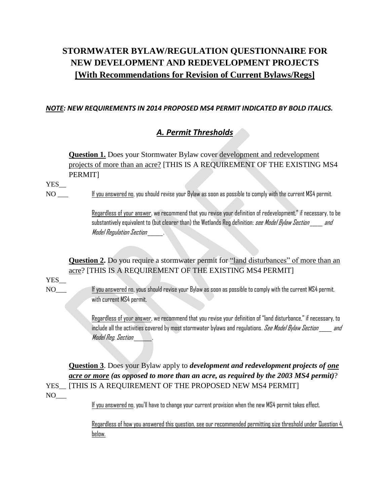# **STORMWATER BYLAW/REGULATION QUESTIONNAIRE FOR NEW DEVELOPMENT AND REDEVELOPMENT PROJECTS [With Recommendations for Revision of Current Bylaws/Regs]**

### *NOTE: NEW REQUIREMENTS IN 2014 PROPOSED MS4 PERMIT INDICATED BY BOLD ITALICS.*

# *A. Permit Thresholds*

**Question 1.** Does your Stormwater Bylaw cover development and redevelopment projects of more than an acre? [THIS IS A REQUIREMENT OF THE EXISTING MS4 PERMIT]

YES\_\_

NO \_\_\_ If you answered no, you should revise your Bylaw as soon as possible to comply with the current MS4 permit.

Regardless of your answer, we recommend that you revise your definition of redevelopment," if necessary, to be substantively equivalent to (but clearer than) the Wetlands Reg definition: see Model Bylaw Section and Model Regulation Section \_\_\_\_\_\_.

**Question 2.** Do you require a stormwater permit for "land disturbances" of more than an acre? [THIS IS A REQUIREMENT OF THE EXISTING MS4 PERMIT]

### YES\_

NO\_\_\_ If you answered no, yous should revise your Bylaw as soon as possible to comply with the current MS4 permit. with current MS4 permit.

> Regardless of your answer, we recommend that you revise your definition of "land disturbance," if necessary, to include all the activities covered by most stormwater bylaws and regulations. *See Model Bylaw Section \_\_\_\_ and* Model Reg. Section

**Question 3**. Does your Bylaw apply to *development and redevelopment projects of one acre or more (as opposed to more than an acre, as required by the 2003 MS4 permit)*? YES\_\_ [THIS IS A REQUIREMENT OF THE PROPOSED NEW MS4 PERMIT]

 $NO_{\_\_\_}$ 

If you answered no, you'll have to change your current provision when the new MS4 permit takes effect.

Regardless of how you answered this question, see our recommended permitting size threshold under Question 4, below.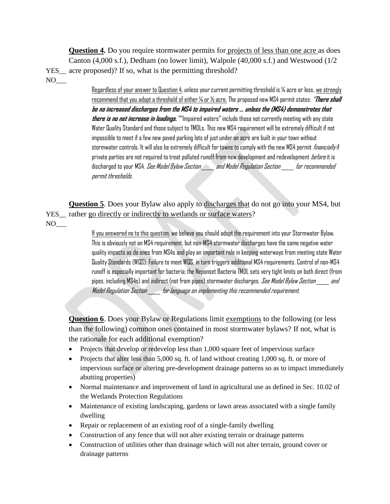**Question 4.** Do you require stormwater permits for projects of less than one acre as does Canton (4,000 s.f.), Dedham (no lower limit), Walpole (40,000 s.f.) and Westwood (1/2 YES acre proposed)? If so, what is the permitting threshold?

NO

Regardless of your answer to Question 4, unless your current permitting threshold is ¼ acre or less, we strongly recommend that you adopt a threshold of either ¼ or ½ acre. The proposed new MS4 permit states: "**There shall be no increased discharges from the MS4 to impaired waters … unless the (MS4) demonstrates that there is no net increase in loadings.**" "Impaired waters" include those not currently meeting with any state Water Quality Standard and those subject to TMDLs. This new MS4 requirement will be extremely difficult if not impossible to meet if a few new paved parking lots of just under an acre are built in your town without stormwater controls. It will also be extremely difficult for towns to comply with the new MS4 permit *financially* if private parties are not required to treat polluted runoff from new development and redevelopment *before* it is discharged to your MS4. *See Model Bylaw Section \_\_\_\_\_ and Model Regulation Section \_\_\_\_ for recommended* permit thresholds.

**Question 5***.* Does your Bylaw also apply to discharges that do not go into your MS4, but YES rather go directly or indirectly to wetlands or surface waters?  $NO_{\_\_\_}$ 

> If you answered no to this question, we believe you should adopt the requirement into your Stormwater Bylaw. This is obviously not an MS4 requirement, but non-MS4 stormwater discharges have the same negative water quality impacts as do ones from MS4s and play an important role in keeping waterways from meeting state Water Quality Standards (WQS). Failure to meet WQS, in turn triggers additional MS4 requirements. Control of non-MS4 runoff is especially important for bacteria; the Neponset Bacteria TMDL sets very tight limits on both direct (from pipes, including MS4s) and indirect (not from pipes) stormwater discharges. *See Model Bylaw Section \_\_\_\_\_ and* Model Regulation Section \_\_\_\_\_ for language on implementing this recommended requirement.

**Question 6**. Does your Bylaw or Regulations limit exemptions to the following (or less than the following) common ones contained in most stormwater bylaws? If not, what is the rationale for each additional exemption?

- Projects that develop or redevelop less than 1,000 square feet of impervious surface
- Projects that alter less than  $5,000$  sq. ft. of land without creating 1,000 sq. ft. or more of impervious surface or altering pre-development drainage patterns so as to impact immediately abutting properties)
- Normal maintenance and improvement of land in agricultural use as defined in Sec. 10.02 of the Wetlands Protection Regulations
- Maintenance of existing landscaping, gardens or lawn areas associated with a single family dwelling
- Repair or replacement of an existing roof of a single-family dwelling
- Construction of any fence that will not alter existing terrain or drainage patterns
- Construction of utilities other than drainage which will not alter terrain, ground cover or drainage patterns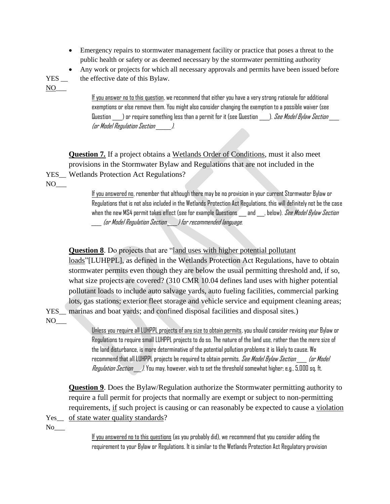- Emergency repairs to stormwater management facility or practice that poses a threat to the public health or safety or as deemed necessary by the stormwater permitting authority
- Any work or projects for which all necessary approvals and permits have been issued before

YES \_\_ the effective date of this Bylaw. NO

If you answer no to this question, we recommend that either you have a very strong rationale for additional exemptions or else remove them. You might also consider changing the exemption to a possible waiver (see Question  $\quad$  ) or require something less than a permit for it (see Question  $\quad$  ). *See Model Bylaw Section*  $\;$ (or Model Regulation Section \_\_\_\_\_\_).

**Question 7***.* If a project obtains a Wetlands Order of Conditions, must it also meet provisions in the Stormwater Bylaw and Regulations that are not included in the YES\_\_ Wetlands Protection Act Regulations?

 $NO_{\_\_\_}$ 

If you answered no, remember that although there may be no provision in your current Stormwater Bylaw or Regulations that is not also included in the Wetlands Protection Act Regulations, this will definitely not be the case when the new MS4 permit takes effect (see for example Questions \_\_\_ and \_\_\_, below). See Model Bylaw Section \_\_\_\_ (or Model Regulation Section \_\_\_\_) for recommended language.

### **Question 8**. Do projects that are "land uses with higher potential pollutant

loads"[LUHPPL], as defined in the Wetlands Protection Act Regulations, have to obtain stormwater permits even though they are below the usual permitting threshold and, if so, what size projects are covered? (310 CMR 10.04 defines land uses with higher potential pollutant loads to include auto salvage yards, auto fueling facilities, commercial parking lots, gas stations; exterior fleet storage and vehicle service and equipment cleaning areas;

YES\_\_ marinas and boat yards; and confined disposal facilities and disposal sites.)  $\rm NO_{\rm \_}$ 

> Unless you require all LUHPPL projects of any size to obtain permits, you should consider revising your Bylaw or Regulations to require small LUHPPL projects to do so. The nature of the land use, rather than the mere size of the land disturbance, is more determinative of the potential pollution problems it is likely to cause. We recommend that all LUHPPL projects be required to obtain permits. *See Model Bylaw Section \_\_\_\_ (or Model* Regulation Section \_\_\_). You may, however, wish to set the threshold somewhat higher; e.g., 5,000 sq. ft.

**Question 9**. Does the Bylaw/Regulation authorize the Stormwater permitting authority to require a full permit for projects that normally are exempt or subject to non-permitting requirements, if such project is causing or can reasonably be expected to cause a violation Yes of state water quality standards?

 $No$ <sub>\_\_\_</sub>

If you answered no to this questions (as you probably did), we recommend that you consider adding the requirement to your Bylaw or Regulations. It is similar to the Wetlands Protection Act Regulatory provision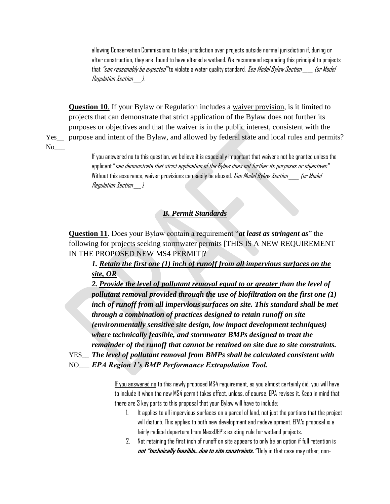allowing Conservation Commissions to take jurisdiction over projects outside normal jurisdiction if, during or after construction, they are found to have altered a wetland. We recommend expanding this principal to projects that *"can reasonably be expected"* to violate a water quality standard. *See Model Bylaw Section [or Model*] Regulation Section \_\_\_).

**Question 10**. If your Bylaw or Regulation includes a waiver provision, is it limited to projects that can demonstrate that strict application of the Bylaw does not further its purposes or objectives and that the waiver is in the public interest, consistent with the Yes\_\_ purpose and intent of the Bylaw, and allowed by federal state and local rules and permits?

No\_\_\_

If you answered no to this question, we believe it is especially important that waivers not be granted unless the applicant "*can demonstrate that strict application of the Bylaw does not further its purposes or objectives.*" Without this assurance, waiver provisions can easily be abused. See Model Bylaw Section (or Model Regulation Section \_\_\_).

### *B. Permit Standards*

**Question 11**. Does your Bylaw contain a requirement "*at least as stringent as*" the following for projects seeking stormwater permits [THIS IS A NEW REQUIREMENT IN THE PROPOSED NEW MS4 PERMIT]?

*1. Retain the first one (1) inch of runoff from all impervious surfaces on the site, OR*

*2. Provide the level of pollutant removal equal to or greater than the level of pollutant removal provided through the use of biofiltration on the first one (1)*  inch of runoff from all impervious surfaces on site. This standard shall be met *through a combination of practices designed to retain runoff on site (environmentally sensitive site design, low impact development techniques) where technically feasible, and stormwater BMPs designed to treat the remainder of the runoff that cannot be retained on site due to site constraints.* 

YES\_\_ *The level of pollutant removal from BMPs shall be calculated consistent with* 

NO\_\_\_ *EPA Region 1's BMP Performance Extrapolation Tool.*

If you answered no to this newly proposed MS4 requirement, as you almost certainly did, you will have to include it when the new MS4 permit takes effect, unless, of course, EPA revises it. Keep in mind that there are 3 key parts to this proposal that your Bylaw will have to include:

- 1. It applies to all impervious surfaces on a parcel of land, not just the portions that the project will disturb. This applies to both new development and redevelopment. EPA's proposal is a fairly radical departure from MassDEP's existing rule for wetland projects.
- 2. Not retaining the first inch of runoff on site appears to only be an option if full retention is **not "technically feasible…due to site constraints."** Only in that case may other, non-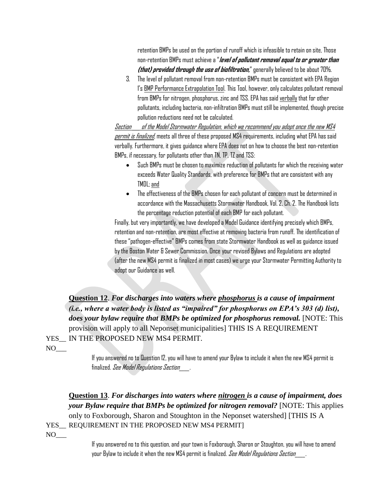retention BMPs be used on the portion of runoff which is infeasible to retain on site, Those non-retention BMPs must achieve a "**level of pollutant removal equal to or greater than (that) provided through the use of biofiltration,**"generally believed to be about 70%.

3. The level of pollutant removal from non-retention BMPs must be consistent with EPA Region 1's BMP Performance Extrapolation Tool. This Tool, however, only calculates pollutant removal from BMPs for nitrogen, phosphorus, zinc and TSS. EPA has said verbally that for other pollutants, including bacteria, non-infiltration BMPs must still be implemented, though precise pollution reductions need not be calculated.

Section \_\_\_ of the Model Stormwater Regulation, which we recommend you adopt once the new MS4 permit is finalized, meets all three of these proposed MS4 requirements, including what EPA has said verbally. Furthermore, it gives guidance where EPA does not on how to choose the best non-retention BMPs, if necessary, for pollutants other than TN, TP, TZ and TSS:

- Such BMPs must be chosen to maximize reduction of pollutants for which the receiving water exceeds Water Quality Standards, with preference for BMPs that are consistent with any TMDL; and
- The effectiveness of the BMPs chosen for each pollutant of concern must be determined in accordance with the Massachusetts Stormwater Handbook, Vol. 2, Ch. 2. The Handbook lists the percentage reduction potential of each BMP for each pollutant.

Finally, but very importantly, we have developed a Model Guidance identifying precisely which BMPs, retention and non-retention, are most effective at removing bacteria from runoff. The identification of these "pathogen-effective" BMPs comes from state Stormwater Handbook as well as guidance issued by the Boston Water & Sewer Commission. Once your revised Bylaws and Regulations are adopted (after the new MS4 permit is finalized in most cases) we urge your Stormwater Permitting Authority to adopt our Guidance as well.

**Question 12**. *For discharges into waters where phosphorus is a cause of impairment (i.e., where a water body is listed as "impaired" for phosphorus on EPA's 303 (d) list), does your bylaw require that BMPs be optimized for phosphorus removal.* [NOTE: This provision will apply to all Neponset municipalities] THIS IS A REQUIREMENT YES IN THE PROPOSED NEW MS4 PERMIT.

 $NO_{\_\_\_}$ 

If you answered no to Question 12, you will have to amend your Bylaw to include it when the new MS4 permit is finalized. See Model Regulations Section

**Question 13**. *For discharges into waters where nitrogen is a cause of impairment, does your Bylaw require that BMPs be optimized for nitrogen removal?* [NOTE: This applies only to Foxborough, Sharon and Stoughton in the Neponset watershed] [THIS IS A YES\_\_ REQUIREMENT IN THE PROPOSED NEW MS4 PERMIT] NO

> If you answered no to this question, and your town is Foxborough, Sharon or Stoughton, you will have to amend your Bylaw to include it when the new MS4 permit is finalized. *See Model Regulations Section\_\_\_\_.*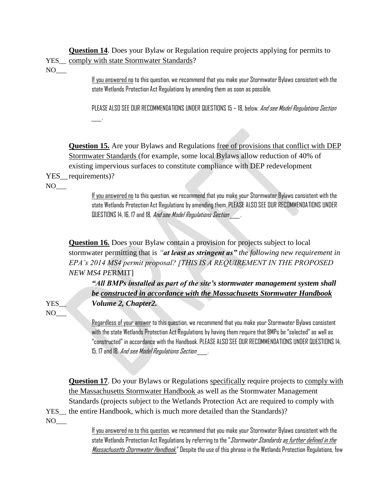**Question 14**. Does your Bylaw or Regulation require projects applying for permits to YES\_\_ comply with state Stormwater Standards?

 $NO_{\_\_\_}$ 

If you answered no to this question, we recommend that you make your Stormwater Bylaws consistent with the state Wetlands Protection Act Regulations by amending them as soon as possible.

PLEASE ALSO SEE OUR RECOMMENDATIONS UNDER QUESTIONS 15 - 18, below. And see Model Regulations Section \_\_\_\_.

**Question 15.** Are your Bylaws and Regulations free of provisions that conflict with DEP Stormwater Standards (for example, some local Bylaws allow reduction of 40% of existing impervious surfaces to constitute compliance with DEP redevelopment

- YES requirements)?
- $NO_{\_\_\_}$

If you answered no to this question, we recommend that you make your Stormwater Bylaws consistent with the state Wetlands Protection Act Regulations by amending them. PLEASE ALSO SEE OUR RECOMMENDATIONS UNDER QUESTIONS 14, 16, 17 and 18. And see Model Regulations Section

**Question 16.** Does your Bylaw contain a provision for projects subject to local stormwater permitting that is *"at least as stringent as" the following new requirement in EPA's 2014 MS4 permit proposal? [THIS IS A REQUIREMENT IN THE PROPOSED NEW MS4 PE*RMIT]

*"All BMPs installed as part of the site's stormwater management system shall be constructed in accordance with the Massachusetts Stormwater Handbook*  YES\_\_ *Volume 2, Chapter2.* 

 $NO_{-}$ 

Regardless of your answer to this question, we recommend that you make your Stormwater Bylaws consistent with the state Wetlands Protection Act Regulations by having them require that BMPs be "selected" as well as "constructed" in accordance with the Handbook. PLEASE ALSO SEE OUR RECOMMENDATIONS UNDER QUESTIONS 14, 15, 17 and 18. *And see Model Regulations Section* 

**Question 17**. Do your Bylaws or Regulations specifically require projects to comply with the Massachusetts Stormwater Handbook as well as the Stormwater Management Standards (projects subject to the Wetlands Protection Act are required to comply with YES the entire Handbook, which is much more detailed than the Standards)? NO

> If you answered no to this question, we recommend that you make your Stormwater Bylaws consistent with the state Wetlands Protection Act Regulations by referring to the "*Stormwater Standards as further defined in the* Massachusetts Stormwater Handbook." Despite the use of this phrase in the Wetlands Protection Regulations, few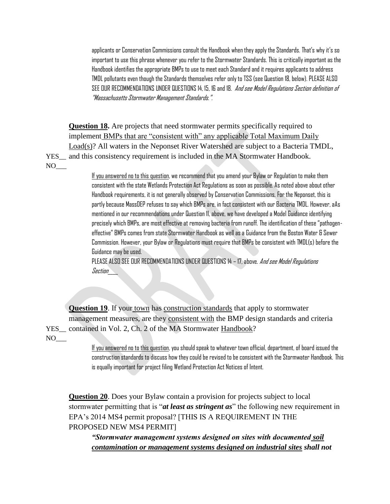applicants or Conservation Commissions consult the Handbook when they apply the Standards. That's why it's so important to use this phrase whenever you refer to the Stormwater Standards. This is critically important as the Handbook identifies the appropriate BMPs to use to meet each Standard and it requires applicants to address TMDL pollutants even though the Standards themselves refer only to TSS (see Question 18, below). PLEASE ALSO SEE OUR RECOMMENDATIONS UNDER QUESTIONS 14, 15, 16 and 18. And see Model Regulations Section definition of "Massachusetts Stormwater Management Standards.".

**Question 18.** Are projects that need stormwater permits specifically required to implement BMPs that are "consistent with" any applicable Total Maximum Daily Load(s)? All waters in the Neponset River Watershed are subject to a Bacteria TMDL, YES\_\_ and this consistency requirement is included in the MA Stormwater Handbook.  $NO_{\_\_\_\_}$ 

> If you answered no to this question, we recommend that you amend your Bylaw or Regulation to make them consistent with the state Wetlands Protection Act Regulations as soon as possible. As noted above about other Handbook requirements, it is not generally observed by Conservation Commissions. For the Neponset, this is partly because MassDEP refuses to say which BMPs are, in fact consistent with our Bacteria TMDL. However, aAs mentioned in our recommendations under Question 11, above, we have developed a Model Guidance identifying precisely which BMPs, are most effective at removing bacteria from runoff. The identification of these "pathogeneffective" BMPs comes from state Stormwater Handbook as well as a Guidance from the Boston Water & Sewer Commission. However, your Bylaw or Regulations must require that BMPs be consistent with TMDL(s) before the Guidance may be used.

PLEASE ALSO SEE OUR RECOMMENDATIONS UNDER QUESTIONS 14 - 17, above. And see Model Regulations Section\_\_\_\_

**Question 19.** If your town has construction standards that apply to stormwater management measures, are they consistent with the BMP design standards and criteria YES\_\_ contained in Vol. 2, Ch. 2 of the MA Stormwater Handbook?  $NO_{\_\_\_}$ 

> If you answered no to this question, you should speak to whatever town official, department, of board issued the construction standards to discuss how they could be revised to be consistent with the Stormwater Handbook. This is equally important for project filing Wetland Protection Act Notices of Intent.

**Question 20**. Does your Bylaw contain a provision for projects subject to local stormwater permitting that is "*at least as stringent as*" the following new requirement in EPA's 2014 MS4 permit proposal? [THIS IS A REQUIREMENT IN THE PROPOSED NEW MS4 PERMIT]

*"Stormwater management systems designed on sites with documented soil contamination or management systems designed on industrial sites shall not*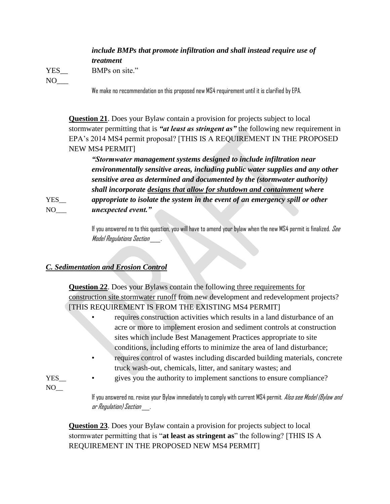# *include BMPs that promote infiltration and shall instead require use of*

*treatment* 

 $NO_{\_\_\_}$ 

YES BMPs on site."

#### We make no recommendation on this proposed new MS4 requirement until it is clarified by EPA.

**Question 21**. Does your Bylaw contain a provision for projects subject to local stormwater permitting that is *"at least as stringent as"* the following new requirement in EPA's 2014 MS4 permit proposal? [THIS IS A REQUIREMENT IN THE PROPOSED NEW MS4 PERMIT]

*"Stormwater management systems designed to include infiltration near environmentally sensitive areas, including public water supplies and any other sensitive area as determined and documented by the (stormwater authority) shall incorporate designs that allow for shutdown and containment where* 

YES*\_\_ appropriate to isolate the system in the event of an emergency spill or other*  NO\_\_\_ *unexpected event."*

> If you answered no to this question, you will have to amend your bylaw when the new MS4 permit is finalized. See Model Regulations Section \_\_\_\_.

### *C. Sedimentation and Erosion Control*

**Question 22**. Does your Bylaws contain the following three requirements for construction site stormwater runoff from new development and redevelopment projects? [THIS REQUIREMENT IS FROM THE EXISTING MS4 PERMIT]

- requires construction activities which results in a land disturbance of an acre or more to implement erosion and sediment controls at construction sites which include Best Management Practices appropriate to site conditions, including efforts to minimize the area of land disturbance;
- requires control of wastes including discarded building materials, concrete truck wash-out, chemicals, litter, and sanitary wastes; and
- YES\_\_ gives you the authority to implement sanctions to ensure compliance?
- NO

If you answered no, revise your Bylaw immediately to comply with current MS4 permit. Also see Model (Bylaw and or Regulation) Section \_\_\_.

**Question 23**. Does your Bylaw contain a provision for projects subject to local stormwater permitting that is "**at least as stringent as**" the following? [THIS IS A REQUIREMENT IN THE PROPOSED NEW MS4 PERMIT]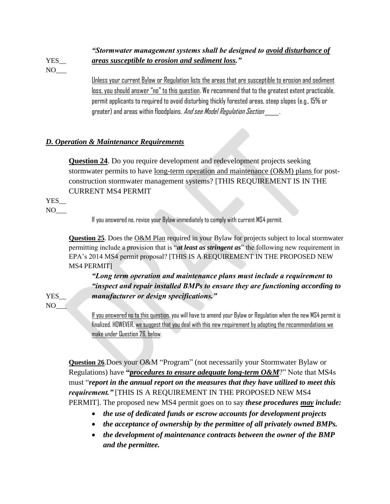# *"Stormwater management systems shall be designed to avoid disturbance of*  YES\_\_ *areas susceptible to erosion and sediment loss."*

 $NO_{\_\_\_}$ 

Unless your current Bylaw or Regulation lists the areas that are susceptible to erosion and sediment loss, you should answer "no" to this question. We recommend that to the greatest extent practicable, permit applicants to required to avoid disturbing thickly forested areas, steep slopes (e.g., 15% or greater) and areas within floodplains. *And see Model Regulation Section* 

## *D. Operation & Maintenance Requirements*

**Question 24**. Do you require development and redevelopment projects seeking stormwater permits to have <u>long-term operation and maintenance  $(O\&M)$  plans</u> for postconstruction stormwater management systems? [THIS REQUIREMENT IS IN THE CURRENT MS4 PERMIT

YES\_  $NO_{\_\_\_}$ 

If you answered no, revise your Bylaw immediately to comply with current MS4 permit.

**Question 25.** Does the O&M Plan required in your Bylaw for projects subject to local stormwater permitting include a provision that is "*at least as stringent as*" the following new requirement in EPA's 2014 MS4 permit proposal? [THIS IS A REQUIREMENT IN THE PROPOSED NEW MS4 PERMIT]

*"Long term operation and maintenance plans must include a requirement to "inspect and repair installed BMPs to ensure they are functioning according to*  YES\_\_ *manufacturer or design specifications."* 

NO<sup>\_\_\_</sup>

If you answered no to this question, you will have to amend your Bylaw or Regulation when the new MS4 permit is finalized. HOWEVER, we suggest that you deal with this new requirement by adopting the recommendations we make under Question 26, below.

**Question 26**.Does your O&M "Program" (not necessarily your Stormwater Bylaw or Regulations) have **"***procedures to ensure adequate long-term O&M*?" Note that MS4s must "*report in the annual report on the measures that they have utilized to meet this requirement."* [THIS IS A REQUIREMENT IN THE PROPOSED NEW MS4 PERMIT]. The proposed new MS4 permit goes on to say *these procedures may include:*

- *the use of dedicated funds or escrow accounts for development projects*
- *the acceptance of ownership by the permittee of all privately owned BMPs.*
- *the development of maintenance contracts between the owner of the BMP and the permittee.*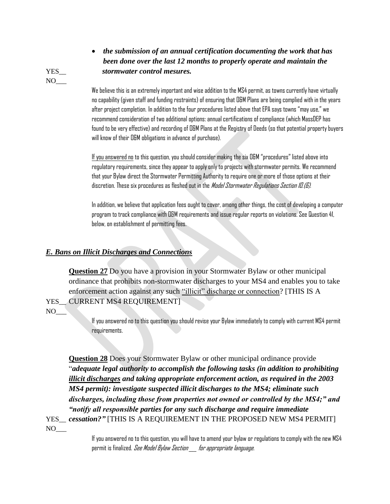*the submission of an annual certification documenting the work that has been done over the last 12 months to properly operate and maintain the*  YES\_\_ *stormwater control mesures.*

> We believe this is an extremely important and wise addition to the MS4 permit, as towns currently have virtually no capability (given staff and funding restraints) of ensuring that O&M Plans are being complied with in the years after project completion. In addition to the four procedures listed above that EPA says towns "may use," we recommend consideration of two additional options: annual certifications of compliance (which MassDEP has found to be very effective) and recording of O&M Plans at the Registry of Deeds (so that potential property buyers will know of their O&M obligations in advance of purchase).

If you answered no to this question, you should consider making the six O&M "procedures" listed above into regulatory requirements, since they appear to apply only to projects with stormwater permits. We recommend that your Bylaw direct the Stormwater Permitting Authority to require one or more of those options at their discretion. These six procedures as fleshed out in the Model Stormwater Regulations Section ID.(6).

In addition, we believe that application fees ought to cover, among other things, the cost of developing a computer program to track compliance with O&M requirements and issue regular reports on violations. See Question 41, below, on establishment of permitting fees.

### *E. Bans on Illicit Discharges and Connections*

**Question 27** Do you have a provision in your Stormwater Bylaw or other municipal ordinance that prohibits non-stormwater discharges to your MS4 and enables you to take enforcement action against any such "illicit" discharge or connection? [THIS IS A YES CURRENT MS4 REQUIREMENT]

 $NO_{\_\_}$ 

If you answered no to this question you should revise your Bylaw immediately to comply with current MS4 permit requirements.

**Question 28** Does your Stormwater Bylaw or other municipal ordinance provide "*adequate legal authority to accomplish the following tasks (in addition to prohibiting illicit discharges and taking appropriate enforcement action, as required in the 2003 MS4 permit): investigate suspected illicit discharges to the MS4; eliminate such discharges, including those from properties not owned or controlled by the MS4;" and "notify all responsible parties for any such discharge and require immediate*  YES\_\_ *cessation?"* [THIS IS A REQUIREMENT IN THE PROPOSED NEW MS4 PERMIT]

 $NO_{\_\_\_}$ 

If you answered no to this question, you will have to amend your bylaw or regulations to comply with the new MS4 permit is finalized. See Model Bylaw Section for appropriate language.

 $NO_{\_\_}$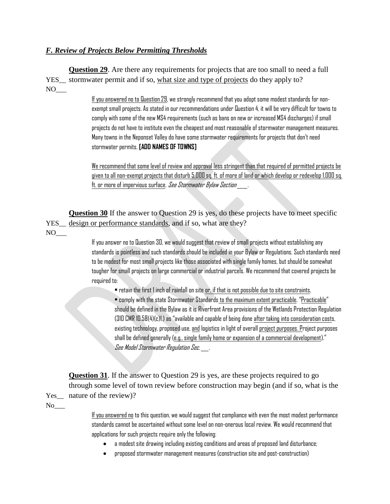### *F. Review of Projects Below Permitting Thresholds*

**Question 29**. Are there any requirements for projects that are too small to need a full YES stormwater permit and if so, what size and type of projects do they apply to?  $NO_{---}$ 

> If you answered no to Question 29, we strongly recommend that you adopt some modest standards for nonexempt small projects. As stated in our recommendations under Question 4, it will be very difficult for towns to comply with some of the new MS4 requirements (such as bans on new or increased MS4 discharges) if small projects do not have to institute even the cheapest and most reasonable of stormwater management measures. Many towns in the Neponset Valley do have some stormwater requirements for projects that don't need stormwater permits. **[ADD NAMES OF TOWNS]**

We recommend that some level of review and approval less stringent than that required of permitted projects be given to all non-exempt projects that disturb 5,000 sq. ft. of more of land or which develop or redevelop 1,000 sq. ft. or more of impervious surface. See Stormwater Bylaw Section

**Question 30** If the answer to Question 29 is yes, do these projects have to meet specific YES\_\_ design or performance standards, and if so, what are they?

 $NO_{\_\_\_}$ 

If you answer no to Question 30, we would suggest that review of small projects without establishing any standards is pointless and such standards should be included in your Bylaw or Regulations. Such standards need to be modest for most small projects like those associated with single family homes, but should be somewhat tougher for small projects on large commercial or industrial parcels. We recommend that covered projects be required to:

• retain the first 1 inch of rainfall on site or, if that is not possible due to site constraints,

• comply with the state Stormwater Standards to the maximum extent practicable. "Practicable" should be defined in the Bylaw as it is Riverfront Area provisions of the Wetlands Protection Regulation (310 CMR 10.58(4)(c)1.) as "available and capable of being done after taking into consideration costs, existing technology, proposed use, and logistics in light of overall project purposes. Project purposes shall be defined generally (e.g., single family home or expansion of a commercial development)." See Model Stormwater Regulation Sec.  $\qquad$  .

**Question 31**. If the answer to Question 29 is yes, are these projects required to go through some level of town review before construction may begin (and if so, what is the Yes\_ nature of the review)? No

> If you answered no to this question, we would suggest that compliance with even the most modest performance standards cannot be ascertained without some level on non-onerous local review. We would recommend that applications for such projects require only the following:

- a modest site drawing including existing conditions and areas of proposed land disturbance;
- proposed stormwater management measures (construction site and post-construction)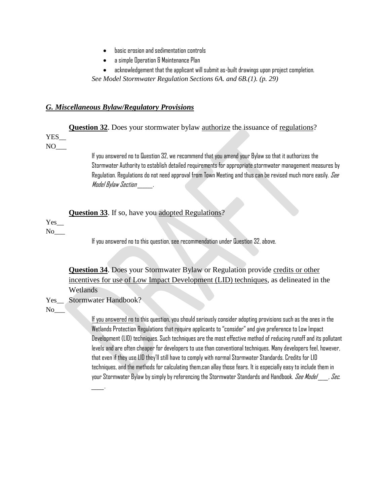- basic erosion and sedimentation controls
- a simple Operation & Maintenance Plan
- acknowledgement that the applicant will submit as-built drawings upon project completion.

*See Model Stormwater Regulation Sections 6A. and 6B.(1). (p. 29)*

#### *G. Miscellaneous Bylaw/Regulatory Provisions*

**Question 32.** Does your stormwater bylaw authorize the issuance of regulations?

## YES\_\_

 $NO_{\_\_\_\_}$ 

If you answered no to Question 32, we recommend that you amend your Bylaw so that it authorizes the Stormwater Authority to establish detailed requirements for appropriate stormwater management measures by Regulation. Regulations do not need approval from Town Meeting and thus can be revised much more easily. See Model Bylaw Section Fig. 3.

| <b>Question 33.</b> If so, have you adopted Regulations? |  |
|----------------------------------------------------------|--|
|----------------------------------------------------------|--|

# Yes\_

 $\rm No$ 

If you answered no to this question, see recommendation under Question 32, above.

**Question 34**. Does your Stormwater Bylaw or Regulation provide credits or other incentives for use of Low Impact Development (LID) techniques, as delineated in the Wetlands

Yes Stormwater Handbook?

\_\_\_\_\_.

 $\overline{\text{No}}$ 

If you answered no to this question, you should seriously consider adopting provisions such as the ones in the Wetlands Protection Regulations that require applicants to "consider"and give preference to Low Impact Development (LID) techniques. Such techniques are the most effective method of reducing runoff and its pollutant levels and are often cheaper for developers to use than conventional techniques. Many developers feel, however, that even if they use LID they'll still have to comply with normal Stormwater Standards. Credits for LID techniques, and the methods for calculating them,can allay those fears. It is especially easy to include them in your Stormwater Bylaw by simply by referencing the Stormwater Standards and Handbook. See Model , Sec.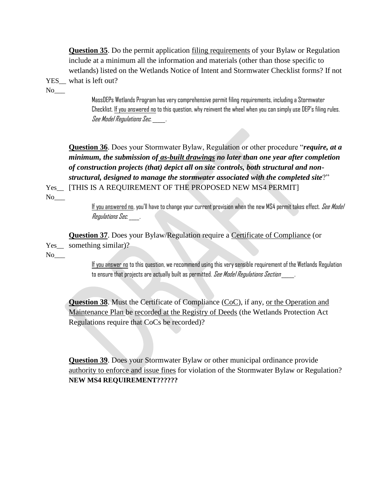**Question 35**. Do the permit application filing requirements of your Bylaw or Regulation include at a minimum all the information and materials (other than those specific to wetlands) listed on the Wetlands Notice of Intent and Stormwater Checklist forms? If not YES what is left out?

No

MassDEPs Wetlands Program has very comprehensive permit filing requirements, including a Stormwater Checklist. If you answered no to this question, why reinvent the wheel when you can simply use DEP's filing rules. See Model Regulations Sec.  $\qquad \qquad .$ 

**Question 36**. Does your Stormwater Bylaw, Regulation or other procedure "*require, at a minimum, the submission of as-built drawings no later than one year after completion of construction projects (that) depict all on site controls, both structural and nonstructural, designed to manage the stormwater associated with the completed site*?" Yes\_\_ [THIS IS A REQUIREMENT OF THE PROPOSED NEW MS4 PERMIT]

No

If you answered no, you'll have to change your current provision when the new MS4 permit takes effect. See Model Regulations Sec. \_\_\_\_.

**Question 37**. Does your Bylaw/Regulation require a Certificate of Compliance (or Yes\_ something similar)?

No

If you answer no to this question, we recommend using this very sensible requirement of the Wetlands Regulation to ensure that projects are actually built as permitted. See Model Regulations Section  $\qquad \qquad$ 

**Question 38**. Must the Certificate of Compliance (CoC), if any, or the Operation and Maintenance Plan be recorded at the Registry of Deeds (the Wetlands Protection Act Regulations require that CoCs be recorded)?

**Question 39**. Does your Stormwater Bylaw or other municipal ordinance provide authority to enforce and issue fines for violation of the Stormwater Bylaw or Regulation? **NEW MS4 REQUIREMENT??????**